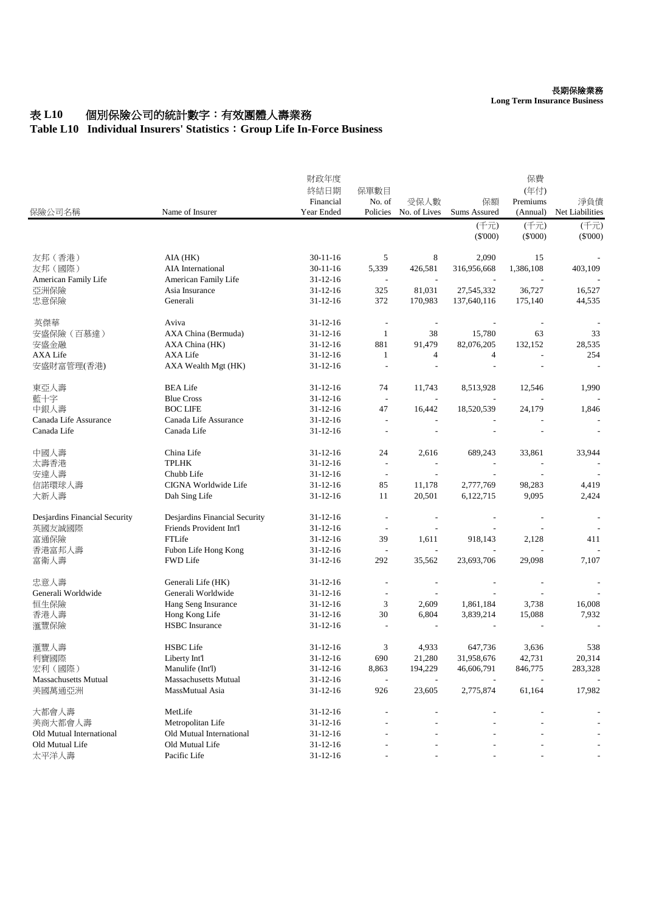## 表 L10 個別保險公司的統計數字:有效團體人壽業務

## **Table L10 Individual Insurers' Statistics**:**Group Life In-Force Business**

|                               |                               | 財政年度           |                          |                          | 保費                       |                          |                 |
|-------------------------------|-------------------------------|----------------|--------------------------|--------------------------|--------------------------|--------------------------|-----------------|
|                               |                               | 終結日期           | 保單數目                     |                          |                          | (年付)                     |                 |
|                               |                               | Financial      | No. of                   | 受保人數                     | 保額                       | Premiums                 | 淨負債             |
| 保險公司名稱                        | Name of Insurer               | Year Ended     | Policies                 | No. of Lives             | <b>Sums Assured</b>      | (Annual)                 | Net Liabilities |
|                               |                               |                |                          |                          | (千元)                     | (千元)                     | (千元)            |
|                               |                               |                |                          |                          | $(\$'000)$               | $(\$'000)$               | $(\$'000)$      |
| 友邦 (香港)                       | AIA (HK)                      | $30 - 11 - 16$ | 5                        | 8                        | 2,090                    | 15                       |                 |
| 友邦 (國際)                       | AIA International             | $30 - 11 - 16$ | 5,339                    | 426,581                  | 316,956,668              | 1,386,108                | 403,109         |
| American Family Life          | American Family Life          | $31 - 12 - 16$ | $\overline{\phantom{a}}$ | $\overline{\phantom{a}}$ |                          |                          |                 |
| 亞洲保險                          | Asia Insurance                | $31 - 12 - 16$ | 325                      | 81,031                   | 27,545,332               | 36,727                   | 16,527          |
| 忠意保險                          | Generali                      | $31 - 12 - 16$ | 372                      | 170,983                  | 137,640,116              | 175,140                  | 44,535          |
| 英傑華                           | Aviva                         | $31 - 12 - 16$ | $\overline{a}$           | $\overline{\phantom{a}}$ | $\overline{\phantom{a}}$ | $\overline{\phantom{a}}$ |                 |
| 安盛保險 (百慕達)                    | AXA China (Bermuda)           | $31 - 12 - 16$ | -1                       | 38                       | 15,780                   | 63                       | 33              |
| 安盛金融                          | AXA China (HK)                | $31 - 12 - 16$ | 881                      | 91,479                   | 82,076,205               | 132,152                  | 28,535          |
| <b>AXA Life</b>               | <b>AXA Life</b>               | $31 - 12 - 16$ | $\mathbf{1}$             | 4                        | 4                        | $\overline{a}$           | 254             |
|                               |                               |                |                          |                          |                          |                          |                 |
| 安盛財富管理(香港)                    | AXA Wealth Mgt (HK)           | $31 - 12 - 16$ |                          |                          |                          |                          |                 |
| 東亞人壽                          | <b>BEA Life</b>               | $31 - 12 - 16$ | 74                       | 11,743                   | 8,513,928                | 12,546                   | 1,990           |
| 藍十字                           | <b>Blue Cross</b>             | $31 - 12 - 16$ | $\overline{\phantom{a}}$ |                          |                          |                          |                 |
| 中銀人壽                          | <b>BOC LIFE</b>               | $31 - 12 - 16$ | 47                       | 16,442                   | 18,520,539               | 24,179                   | 1,846           |
| Canada Life Assurance         | Canada Life Assurance         | $31 - 12 - 16$ | $\overline{\phantom{a}}$ |                          |                          |                          |                 |
| Canada Life                   | Canada Life                   | $31 - 12 - 16$ |                          |                          |                          |                          |                 |
| 中國人壽                          | China Life                    | $31 - 12 - 16$ | 24                       | 2,616                    | 689,243                  | 33,861                   | 33,944          |
| 太壽香港                          | <b>TPLHK</b>                  | $31 - 12 - 16$ |                          |                          |                          |                          |                 |
| 安達人壽                          | Chubb Life                    | $31 - 12 - 16$ | $\overline{a}$           |                          |                          | $\overline{a}$           |                 |
| 信諾環球人壽                        | CIGNA Worldwide Life          | $31 - 12 - 16$ | 85                       | 11,178                   | 2,777,769                | 98,283                   | 4,419           |
| 大新人壽                          | Dah Sing Life                 | $31 - 12 - 16$ | 11                       | 20,501                   | 6,122,715                | 9,095                    | 2,424           |
|                               |                               |                |                          |                          |                          |                          |                 |
| Desjardins Financial Security | Desjardins Financial Security | 31-12-16       | $\overline{\phantom{a}}$ | $\overline{\phantom{a}}$ |                          | $\overline{\phantom{a}}$ |                 |
| 英國友誠國際                        | Friends Provident Int'l       | $31 - 12 - 16$ | $\overline{a}$           |                          |                          |                          |                 |
| 富通保險                          | FTLife                        | $31 - 12 - 16$ | 39                       | 1,611                    | 918,143                  | 2,128                    | 411             |
| 香港富邦人壽                        | Fubon Life Hong Kong          | $31 - 12 - 16$ | $\sim$                   | $\overline{\phantom{a}}$ |                          |                          |                 |
| 富衛人壽                          | <b>FWD Life</b>               | $31 - 12 - 16$ | 292                      | 35,562                   | 23,693,706               | 29,098                   | 7,107           |
| 忠意人壽                          | Generali Life (HK)            | $31 - 12 - 16$ | $\overline{a}$           | $\overline{\phantom{a}}$ |                          | $\overline{\phantom{a}}$ |                 |
| Generali Worldwide            | Generali Worldwide            | $31 - 12 - 16$ | $\overline{a}$           |                          |                          |                          |                 |
| 恒生保險                          | Hang Seng Insurance           | $31 - 12 - 16$ | 3                        | 2,609                    | 1,861,184                | 3,738                    | 16,008          |
| 香港人壽                          | Hong Kong Life                | $31 - 12 - 16$ | 30                       | 6,804                    | 3,839,214                | 15,088                   | 7,932           |
| 滙豐保險                          | <b>HSBC</b> Insurance         | $31 - 12 - 16$ | L,                       |                          |                          |                          |                 |
| 滙豐人壽                          | <b>HSBC</b> Life              | $31 - 12 - 16$ | 3                        | 4,933                    | 647,736                  | 3,636                    | 538             |
| 利寶國際                          | Liberty Int'l                 | $31 - 12 - 16$ | 690                      | 21,280                   | 31,958,676               | 42,731                   | 20,314          |
| 宏利 (國際)                       | Manulife (Int1)               | $31 - 12 - 16$ | 8,863                    | 194,229                  | 46,606,791               | 846,775                  | 283,328         |
| <b>Massachusetts Mutual</b>   | <b>Massachusetts Mutual</b>   | $31 - 12 - 16$ |                          |                          |                          |                          |                 |
| 美國萬通亞洲                        | MassMutual Asia               | $31 - 12 - 16$ | 926                      | 23,605                   | 2,775,874                | 61,164                   | 17,982          |
|                               |                               |                |                          |                          |                          |                          |                 |
| 大都會人壽                         | MetLife                       | $31 - 12 - 16$ |                          |                          |                          |                          |                 |
| 美商大都會人壽                       | Metropolitan Life             | $31 - 12 - 16$ |                          |                          |                          |                          |                 |
| Old Mutual International      | Old Mutual International      | $31 - 12 - 16$ |                          |                          |                          |                          |                 |
| Old Mutual Life               | Old Mutual Life               | $31 - 12 - 16$ |                          |                          |                          |                          |                 |
| 太平洋人壽                         | Pacific Life                  | $31 - 12 - 16$ |                          |                          |                          |                          |                 |